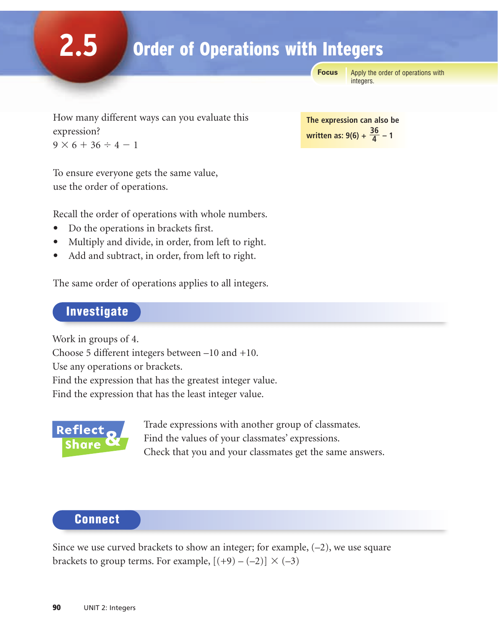**Focus**

Apply the order of operations with integers.

How many different ways can you evaluate this expression?  $9 \times 6 + 36 \div 4 - 1$ 

To ensure everyone gets the same value, use the order of operations.

Recall the order of operations with whole numbers.

- Do the operations in brackets first.
- Multiply and divide, in order, from left to right.
- Add and subtract, in order, from left to right.

The same order of operations applies to all integers.

### Investigate

**2.5**

Work in groups of 4.

Choose 5 different integers between –10 and +10.

Use any operations or brackets.

Find the expression that has the greatest integer value.

Find the expression that has the least integer value.



Trade expressions with another group of classmates. Find the values of your classmates' expressions. Check that you and your classmates get the same answers.

## **Connect**

Since we use curved brackets to show an integer; for example,  $(-2)$ , we use square brackets to group terms. For example,  $[(+9)-(-2)] \times (-3)$ 

**The expression can also be <u>written as: 9(6) +**  $\frac{36}{4}$  **– 1</u>**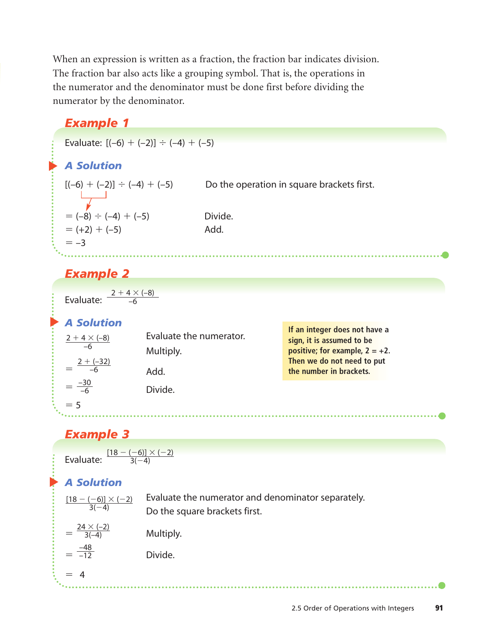When an expression is written as a fraction, the fraction bar indicates division. The fraction bar also acts like a grouping symbol. That is, the operations in the numerator and the denominator must be done first before dividing the numerator by the denominator.

# ▲ *A Solution Example 1* Evaluate:  $[(-6) + (-2)] \div (-4) + (-5)$  $[(-6) + (-2)] \div (-4) +$ Do the operation in square brackets first.  $= (-8) \div (-4) + (-5)$ Divide.  $= (+2) + (-5)$  Add.  $=-3$ *Example 2* Evaluate:  $2 + 4 \times (-8)$ –6

| <b>A Solution</b><br>$2 + 4 \times (-8)$<br>-6<br>$2 + (-32)$ | Evaluate the numerator.<br>Multiply.<br>Add. | If an integer does not have a<br>sign, it is assumed to be<br>positive; for example, $2 = +2$ .<br>Then we do not need to put<br>the number in brackets. |
|---------------------------------------------------------------|----------------------------------------------|----------------------------------------------------------------------------------------------------------------------------------------------------------|
| $\frac{-30}{-6}$                                              | Divide.                                      |                                                                                                                                                          |
| $= 5$                                                         |                                              |                                                                                                                                                          |

#### *Example 3*

| $[18 - (-6)] \times (-2)$ |
|---------------------------|
| Evaluate:<br>$-4$         |
|                           |
|                           |

## ▲ *A Solution*

| $\frac{[18-(-6)] \times (-2)}{3(-4)}$ | Evaluate the numerator and denominator separately.<br>Do the square brackets first. |
|---------------------------------------|-------------------------------------------------------------------------------------|
| $=\frac{24\times(-2)}{3(-4)}$         | Multiply.                                                                           |
| $=\frac{-48}{-12}$                    | Divide.                                                                             |
| $= 4$                                 |                                                                                     |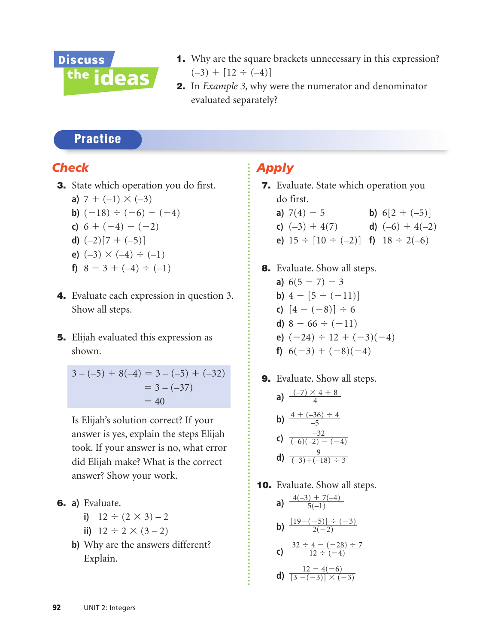

- 1. Why are the square brackets unnecessary in this expression?  $(-3) + [12 \div (-4)]$
- 2. In *Example 3*, why were the numerator and denominator evaluated separately?

## **Practice**

### *Check*

3. State which operation you do first.

a) 
$$
7 + (-1) \times (-3)
$$

**b)** 
$$
(-18) \div (-6) - (-4)
$$

**c)**  $6 + (-4) - (-2)$ 

$$
d) (-2)[7 + (-5)]
$$

- **e)**  $(-3) \times (-4) \div (-1)$
- **f)**  $8-3+(-4) \div (-1)$
- 4. Evaluate each expression in question 3. Show all steps.
- 5. Elijah evaluated this expression as shown.

$$
3 - (-5) + 8(-4) = 3 - (-5) + (-32)
$$
  
= 3 - (-37)  
= 40

Is Elijah's solution correct? If your answer is yes, explain the steps Elijah took. If your answer is no, what error did Elijah make? What is the correct answer? Show your work.

6. **a)** Evaluate.

i) 
$$
12 \div (2 \times 3) - 2
$$

- **ii)**  $12 \div 2 \times (3-2)$
- **b)** Why are the answers different? Explain.

## *Apply*

- 7. Evaluate. State which operation you do first. **a)**  $7(4) - 5$ **b**)  $6[2 + (-5)]$ 
	- **c)**  $(-3) + 4(7)$  **d)**  $(-6) + 4(-2)$
	- **e)**  $15 \div [10 \div (-2)]$  **f)**  $18 \div 2(-6)$
- 8. Evaluate. Show all steps. **a)**  $6(5 - 7) - 3$ **b)**  $4 - [5 + (-11)]$ **c)**  $[4 - (-8)] \div 6$ **d)**  $8 - 66 \div (-11)$ **e)**  $(-24) \div 12 + (-3)(-4)$ **f)**  $6(-3) + (-8)(-4)$
- 9. Evaluate. Show all steps.
	- **a)**  $\frac{(-7) \times 4 + 8}{4}$ **b)**  $\frac{4 + (-36) \div 4}{-5}$ **c)**  $\frac{-32}{(-6)(-2) - (-4)}$ **d)**  $\frac{9}{(-3)+(-18) \div 3}$ –5 4
- **10.** Evaluate. Show all steps.

a) 
$$
\frac{4(-3) + 7(-4)}{5(-1)}
$$
  
b) 
$$
\frac{[19 - (-5)] \div (-3)}{2(-2)}
$$
  
c) 
$$
\frac{32 \div 4 - (-28) \div 7}{12 \div (-4)}
$$

**d)** 
$$
\frac{12-4(-6)}{[3-(-3)]\times(-3)}
$$